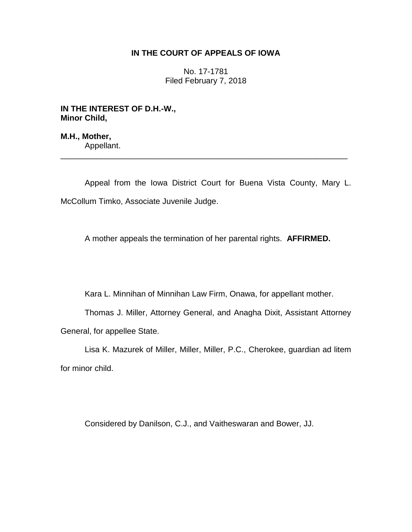# **IN THE COURT OF APPEALS OF IOWA**

No. 17-1781 Filed February 7, 2018

**IN THE INTEREST OF D.H.-W., Minor Child,**

**M.H., Mother,** Appellant.

Appeal from the Iowa District Court for Buena Vista County, Mary L. McCollum Timko, Associate Juvenile Judge.

\_\_\_\_\_\_\_\_\_\_\_\_\_\_\_\_\_\_\_\_\_\_\_\_\_\_\_\_\_\_\_\_\_\_\_\_\_\_\_\_\_\_\_\_\_\_\_\_\_\_\_\_\_\_\_\_\_\_\_\_\_\_\_\_

A mother appeals the termination of her parental rights. **AFFIRMED.**

Kara L. Minnihan of Minnihan Law Firm, Onawa, for appellant mother.

Thomas J. Miller, Attorney General, and Anagha Dixit, Assistant Attorney General, for appellee State.

Lisa K. Mazurek of Miller, Miller, Miller, P.C., Cherokee, guardian ad litem for minor child.

Considered by Danilson, C.J., and Vaitheswaran and Bower, JJ.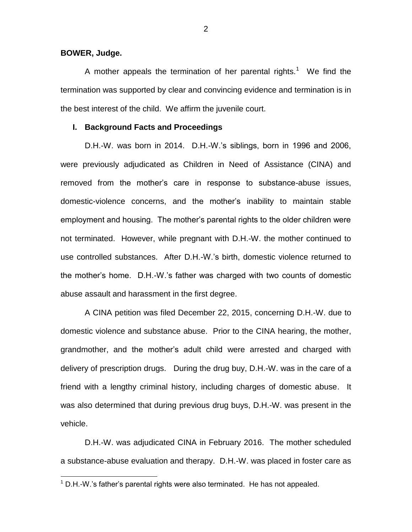## **BOWER, Judge.**

 $\overline{a}$ 

A mother appeals the termination of her parental rights.<sup>1</sup> We find the termination was supported by clear and convincing evidence and termination is in the best interest of the child. We affirm the juvenile court.

### **I. Background Facts and Proceedings**

D.H.-W. was born in 2014. D.H.-W.'s siblings, born in 1996 and 2006, were previously adjudicated as Children in Need of Assistance (CINA) and removed from the mother's care in response to substance-abuse issues, domestic-violence concerns, and the mother's inability to maintain stable employment and housing. The mother's parental rights to the older children were not terminated. However, while pregnant with D.H.-W. the mother continued to use controlled substances. After D.H.-W.'s birth, domestic violence returned to the mother's home. D.H.-W.'s father was charged with two counts of domestic abuse assault and harassment in the first degree.

A CINA petition was filed December 22, 2015, concerning D.H.-W. due to domestic violence and substance abuse. Prior to the CINA hearing, the mother, grandmother, and the mother's adult child were arrested and charged with delivery of prescription drugs. During the drug buy, D.H.-W. was in the care of a friend with a lengthy criminal history, including charges of domestic abuse. It was also determined that during previous drug buys, D.H.-W. was present in the vehicle.

D.H.-W. was adjudicated CINA in February 2016. The mother scheduled a substance-abuse evaluation and therapy. D.H.-W. was placed in foster care as

 $1$  D.H.-W.'s father's parental rights were also terminated. He has not appealed.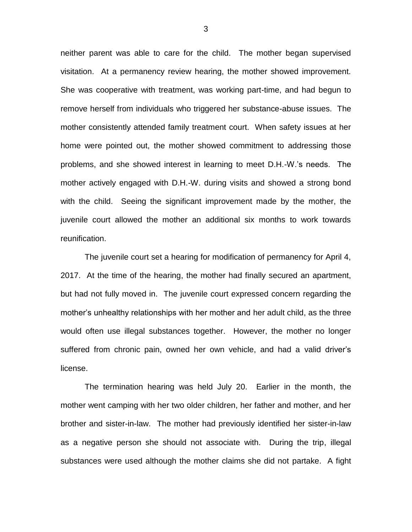neither parent was able to care for the child. The mother began supervised visitation. At a permanency review hearing, the mother showed improvement. She was cooperative with treatment, was working part-time, and had begun to remove herself from individuals who triggered her substance-abuse issues. The mother consistently attended family treatment court. When safety issues at her home were pointed out, the mother showed commitment to addressing those problems, and she showed interest in learning to meet D.H.-W.'s needs. The mother actively engaged with D.H.-W. during visits and showed a strong bond with the child. Seeing the significant improvement made by the mother, the juvenile court allowed the mother an additional six months to work towards reunification.

The juvenile court set a hearing for modification of permanency for April 4, 2017. At the time of the hearing, the mother had finally secured an apartment, but had not fully moved in. The juvenile court expressed concern regarding the mother's unhealthy relationships with her mother and her adult child, as the three would often use illegal substances together. However, the mother no longer suffered from chronic pain, owned her own vehicle, and had a valid driver's license.

The termination hearing was held July 20. Earlier in the month, the mother went camping with her two older children, her father and mother, and her brother and sister-in-law. The mother had previously identified her sister-in-law as a negative person she should not associate with. During the trip, illegal substances were used although the mother claims she did not partake. A fight

3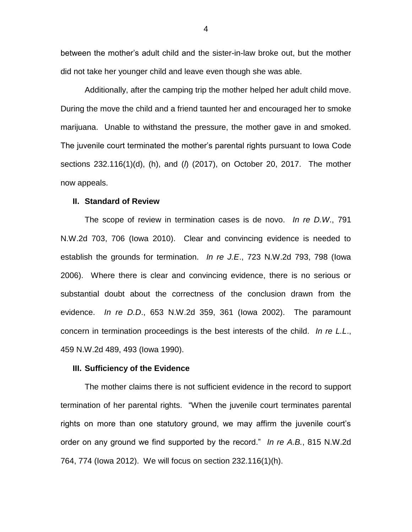between the mother's adult child and the sister-in-law broke out, but the mother did not take her younger child and leave even though she was able.

Additionally, after the camping trip the mother helped her adult child move. During the move the child and a friend taunted her and encouraged her to smoke marijuana. Unable to withstand the pressure, the mother gave in and smoked. The juvenile court terminated the mother's parental rights pursuant to Iowa Code sections 232.116(1)(d), (h), and (*l*) (2017), on October 20, 2017. The mother now appeals.

# **II. Standard of Review**

The scope of review in termination cases is de novo. *In re D.W*., 791 N.W.2d 703, 706 (Iowa 2010). Clear and convincing evidence is needed to establish the grounds for termination. *In re J.E*., 723 N.W.2d 793, 798 (Iowa 2006). Where there is clear and convincing evidence, there is no serious or substantial doubt about the correctness of the conclusion drawn from the evidence. *In re D.D*., 653 N.W.2d 359, 361 (Iowa 2002). The paramount concern in termination proceedings is the best interests of the child. *In re L.L*., 459 N.W.2d 489, 493 (Iowa 1990).

### **III. Sufficiency of the Evidence**

The mother claims there is not sufficient evidence in the record to support termination of her parental rights. "When the juvenile court terminates parental rights on more than one statutory ground, we may affirm the juvenile court's order on any ground we find supported by the record." *In re A.B.*, 815 N.W.2d 764, 774 (Iowa 2012). We will focus on section 232.116(1)(h).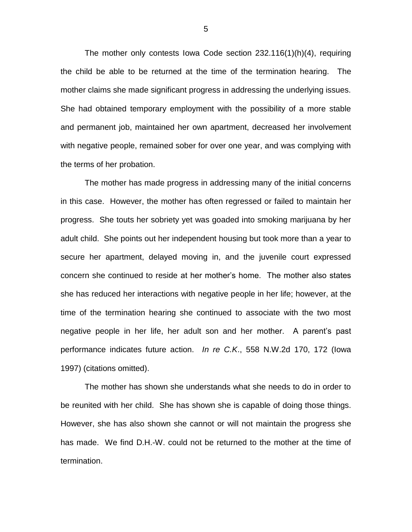The mother only contests Iowa Code section 232.116(1)(h)(4), requiring the child be able to be returned at the time of the termination hearing. The mother claims she made significant progress in addressing the underlying issues. She had obtained temporary employment with the possibility of a more stable and permanent job, maintained her own apartment, decreased her involvement with negative people, remained sober for over one year, and was complying with the terms of her probation.

The mother has made progress in addressing many of the initial concerns in this case. However, the mother has often regressed or failed to maintain her progress. She touts her sobriety yet was goaded into smoking marijuana by her adult child. She points out her independent housing but took more than a year to secure her apartment, delayed moving in, and the juvenile court expressed concern she continued to reside at her mother's home. The mother also states she has reduced her interactions with negative people in her life; however, at the time of the termination hearing she continued to associate with the two most negative people in her life, her adult son and her mother. A parent's past performance indicates future action. *In re C.K*., 558 N.W.2d 170, 172 (Iowa 1997) (citations omitted).

The mother has shown she understands what she needs to do in order to be reunited with her child. She has shown she is capable of doing those things. However, she has also shown she cannot or will not maintain the progress she has made. We find D.H.-W. could not be returned to the mother at the time of termination.

5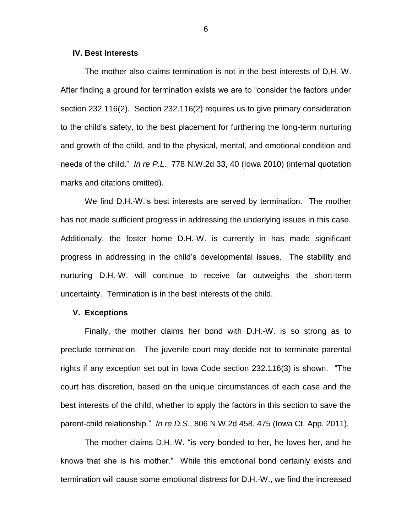### **IV. Best Interests**

The mother also claims termination is not in the best interests of D.H.-W. After finding a ground for termination exists we are to "consider the factors under section 232.116(2). Section 232.116(2) requires us to give primary consideration to the child's safety, to the best placement for furthering the long-term nurturing and growth of the child, and to the physical, mental, and emotional condition and needs of the child." *In re P.L*., 778 N.W.2d 33, 40 (Iowa 2010) (internal quotation marks and citations omitted).

We find D.H.-W.'s best interests are served by termination. The mother has not made sufficient progress in addressing the underlying issues in this case. Additionally, the foster home D.H.-W. is currently in has made significant progress in addressing in the child's developmental issues. The stability and nurturing D.H.-W. will continue to receive far outweighs the short-term uncertainty. Termination is in the best interests of the child.

## **V. Exceptions**

Finally, the mother claims her bond with D.H.-W. is so strong as to preclude termination. The juvenile court may decide not to terminate parental rights if any exception set out in Iowa Code section 232.116(3) is shown. "The court has discretion, based on the unique circumstances of each case and the best interests of the child, whether to apply the factors in this section to save the parent-child relationship." *In re D.S*., 806 N.W.2d 458, 475 (Iowa Ct. App. 2011).

The mother claims D.H.-W. "is very bonded to her, he loves her, and he knows that she is his mother." While this emotional bond certainly exists and termination will cause some emotional distress for D.H.-W., we find the increased